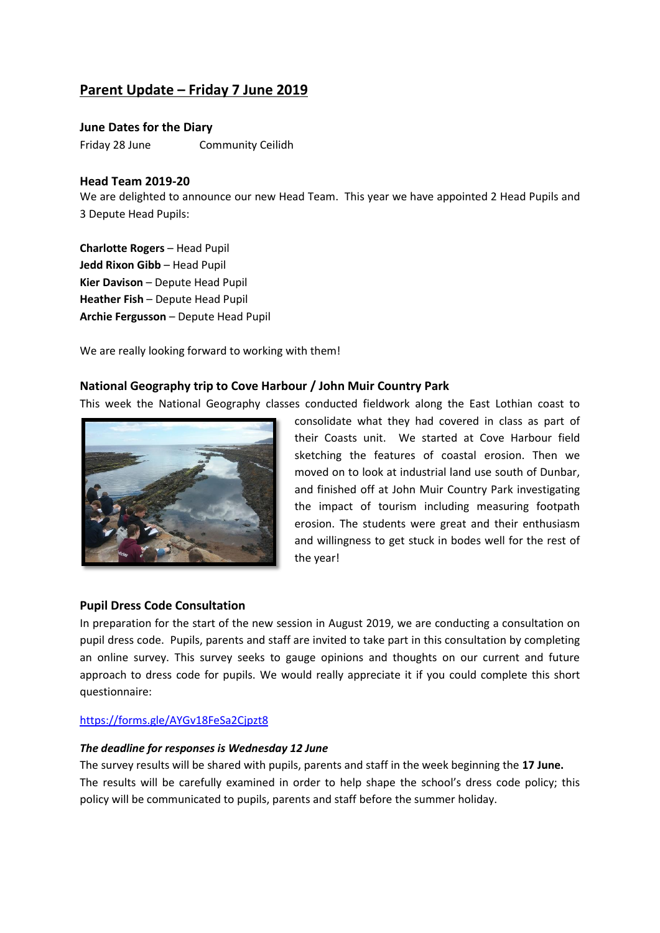# **Parent Update – Friday 7 June 2019**

**June Dates for the Diary** Friday 28 June Community Ceilidh

# **Head Team 2019-20**

We are delighted to announce our new Head Team. This year we have appointed 2 Head Pupils and 3 Depute Head Pupils:

**Charlotte Rogers** – Head Pupil **Jedd Rixon Gibb** – Head Pupil **Kier Davison** – Depute Head Pupil **Heather Fish** – Depute Head Pupil **Archie Fergusson** – Depute Head Pupil

We are really looking forward to working with them!

# **National Geography trip to Cove Harbour / John Muir Country Park**

This week the National Geography classes conducted fieldwork along the East Lothian coast to



consolidate what they had covered in class as part of their Coasts unit. We started at Cove Harbour field sketching the features of coastal erosion. Then we moved on to look at industrial land use south of Dunbar, and finished off at John Muir Country Park investigating the impact of tourism including measuring footpath erosion. The students were great and their enthusiasm and willingness to get stuck in bodes well for the rest of the year!

#### **Pupil Dress Code Consultation**

In preparation for the start of the new session in August 2019, we are conducting a consultation on pupil dress code. Pupils, parents and staff are invited to take part in this consultation by completing an online survey. This survey seeks to gauge opinions and thoughts on our current and future approach to dress code for pupils. We would really appreciate it if you could complete this short questionnaire:

#### <https://forms.gle/AYGv18FeSa2Cjpzt8>

#### *The deadline for responses is Wednesday 12 June*

The survey results will be shared with pupils, parents and staff in the week beginning the **17 June.** The results will be carefully examined in order to help shape the school's dress code policy; this policy will be communicated to pupils, parents and staff before the summer holiday.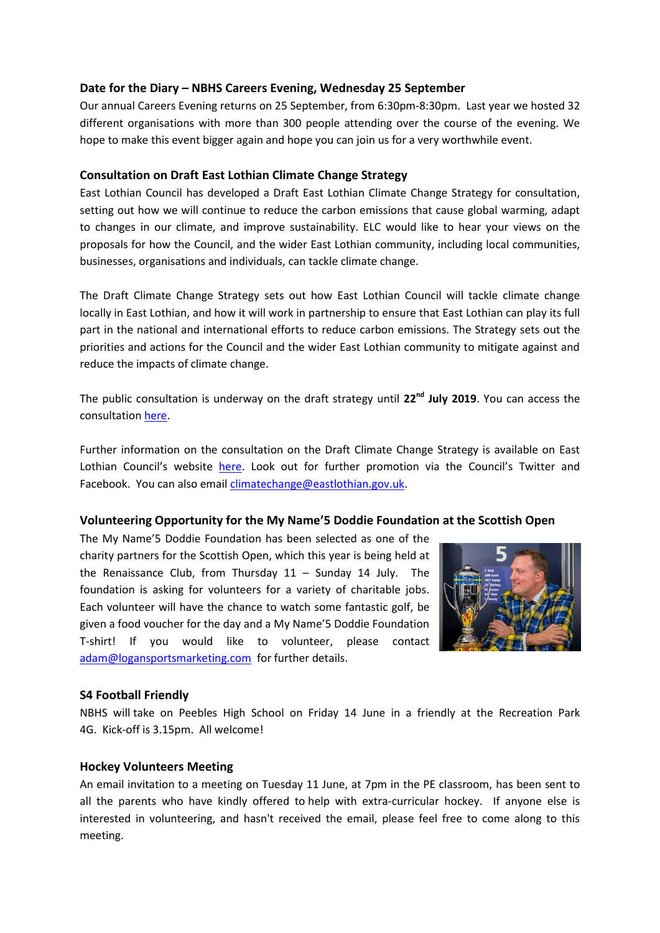# **Date for the Diary – NBHS Careers Evening, Wednesday 25 September**

Our annual Careers Evening returns on 25 September, from 6:30pm-8:30pm. Last year we hosted 32 different organisations with more than 300 people attending over the course of the evening. We hope to make this event bigger again and hope you can join us for a very worthwhile event.

# **Consultation on Draft East Lothian Climate Change Strategy**

East Lothian Council has developed a Draft East Lothian Climate Change Strategy for consultation, setting out how we will continue to reduce the carbon emissions that cause global warming, adapt to changes in our climate, and improve sustainability. ELC would like to hear your views on the proposals for how the Council, and the wider East Lothian community, including local communities, businesses, organisations and individuals, can tackle climate change.

The Draft Climate Change Strategy sets out how East Lothian Council will tackle climate change locally in East Lothian, and how it will work in partnership to ensure that East Lothian can play its full part in the national and international efforts to reduce carbon emissions. The Strategy sets out the priorities and actions for the Council and the wider East Lothian community to mitigate against and reduce the impacts of climate change.

The public consultation is underway on the draft strategy until **22nd July 2019**. You can access the consultation [here.](https://eastlothianconsultations.co.uk/policy-partnerships/climate-change-strategy/)

Further information on the consultation on the Draft Climate Change Strategy is available on East Lothian Council's website [here.](https://www.eastlothian.gov.uk/news/article/13012/consultation_opens_on_draft_climate_change_strategy) Look out for further promotion via the Council's Twitter and Facebook. You can also emai[l climatechange@eastlothian.gov.uk.](mailto:climatechange@eastlothian.gov.uk)

# **Volunteering Opportunity for the My Name'5 Doddie Foundation at the Scottish Open**

The My Name'5 Doddie Foundation has been selected as one of the charity partners for the Scottish Open, which this year is being held at the Renaissance Club, from Thursday 11 – Sunday 14 July. The foundation is asking for volunteers for a variety of charitable jobs. Each volunteer will have the chance to watch some fantastic golf, be given a food voucher for the day and a My Name'5 Doddie Foundation T-shirt! If you would like to volunteer, please contact [adam@logansportsmarketing.com](mailto:adam@logansportsmarketing.com) for further details.



# **S4 Football Friendly**

NBHS will take on Peebles High School on Friday 14 June in a friendly at the Recreation Park 4G. Kick-off is 3.15pm. All welcome!

# **Hockey Volunteers Meeting**

An email invitation to a meeting on Tuesday 11 June, at 7pm in the PE classroom, has been sent to all the parents who have kindly offered to help with extra-curricular hockey. If anyone else is interested in volunteering, and hasn't received the email, please feel free to come along to this meeting.